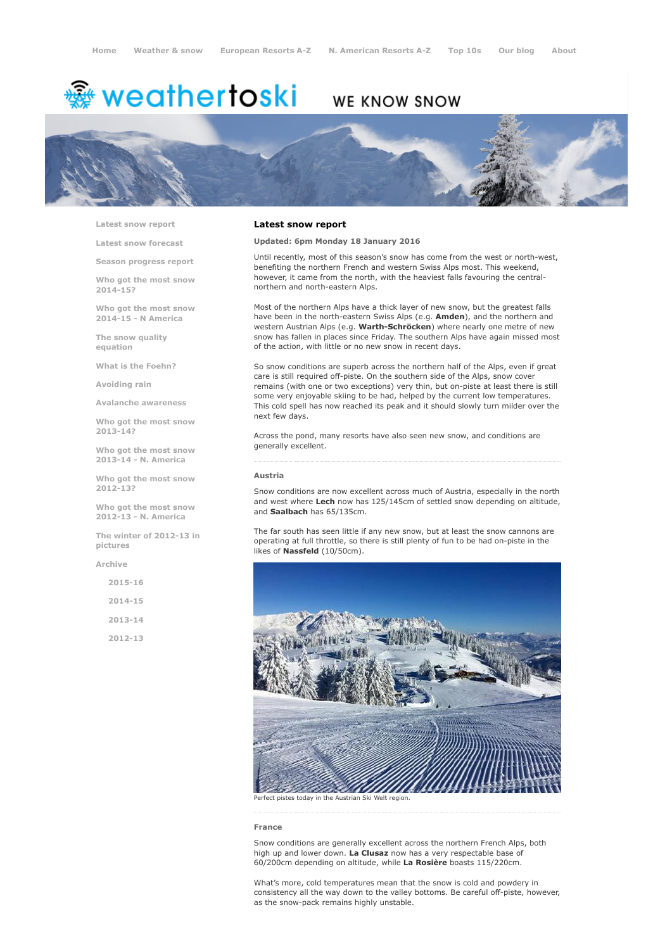# <sup>鑫</sup> weathertoski

# WE KNOW SNOW



Latest snow [report](http://www.weathertoski.co.uk/weather-snow/latest-snow-report/)

Latest snow [forecast](http://www.weathertoski.co.uk/weather-snow/latest-snow-forecast/)

Season [progress](http://www.weathertoski.co.uk/weather-snow/season-progress-report/) report

Who got the most snow 2014-15?

Who got the most snow 2014-15 - N America

The snow quality [equation](http://www.weathertoski.co.uk/weather-snow/the-snow-quality-equation/)

What is the [Foehn?](http://www.weathertoski.co.uk/weather-snow/what-is-the-foehn/)

[Avoiding](http://www.weathertoski.co.uk/weather-snow/avoiding-rain/) rain

Avalanche [awareness](http://www.weathertoski.co.uk/weather-snow/avalanche-awareness/)

Who got the most snow 2013-14?

Who got the most snow 2013-14 - N. America

Who got the most snow 2012-13?

Who got the most snow 2012-13 - N. America

The winter of 2012-13 in pictures

[Archive](http://www.weathertoski.co.uk/weather-snow/archive/)

2015-16 2014-15 2013-14 2012-13

# Latest snow report

Updated: 6pm Monday 18 January 2016

Until recently, most of this season's snow has come from the west or north-west, benefiting the northern French and western Swiss Alps most. This weekend, however, it came from the north, with the heaviest falls favouring the centralnorthern and north-eastern Alps.

Most of the northern Alps have a thick layer of new snow, but the greatest falls have been in the north-eastern Swiss Alps (e.g. Amden), and the northern and western Austrian Alps (e.g. Warth-Schröcken) where nearly one metre of new snow has fallen in places since Friday. The southern Alps have again missed most of the action, with little or no new snow in recent days.

So snow conditions are superb across the northern half of the Alps, even if great care is still required off-piste. On the southern side of the Alps, snow cover remains (with one or two exceptions) very thin, but on-piste at least there is still some very enjoyable skiing to be had, helped by the current low temperatures. This cold spell has now reached its peak and it should slowly turn milder over the next few days.

Across the pond, many resorts have also seen new snow, and conditions are generally excellent.

#### Austria

Snow conditions are now excellent across much of Austria, especially in the north and west where Lech now has 125/145cm of settled snow depending on altitude, and Saalbach has 65/135cm.

The far south has seen little if any new snow, but at least the snow cannons are operating at full throttle, so there is still plenty of fun to be had on-piste in the likes of Nassfeld (10/50cm).



France

Snow conditions are generally excellent across the northern French Alps, both high up and lower down. La Clusaz now has a very respectable base of 60/200cm depending on altitude, while La Rosière boasts 115/220cm.

What's more, cold temperatures mean that the snow is cold and powdery in consistency all the way down to the valley bottoms. Be careful off-piste, however, as the snow-pack remains highly unstable.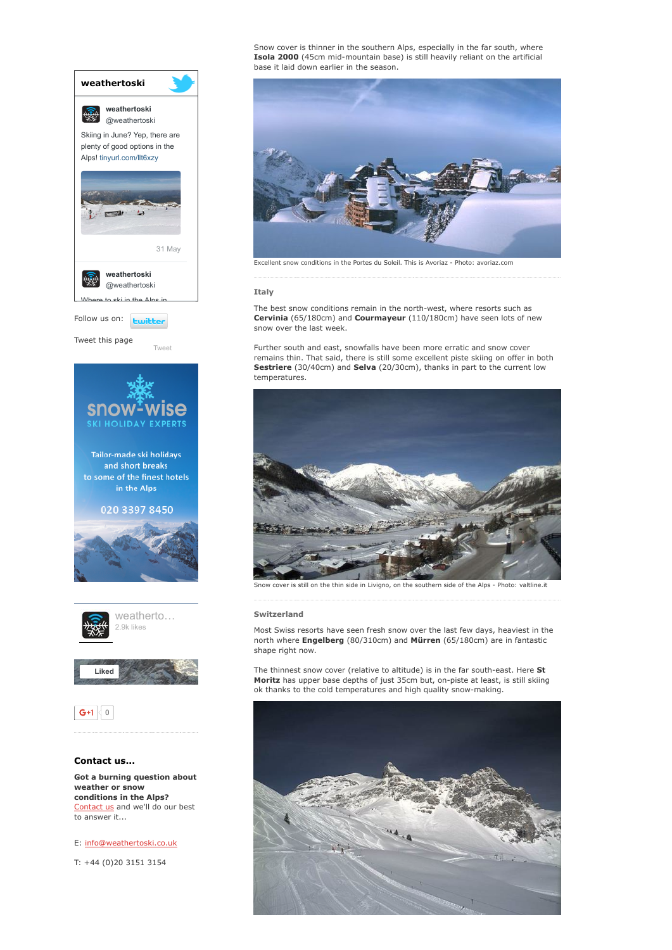

weather or snow conditions in the Alps? [Contact](http://www.weathertoski.co.uk/about-1/contact-us/) us and we'll do our best to answer it...

E: [info@weathertoski.co.uk](mailto:fraser@weathertoski.co.uk)

T: +44 (0)20 3151 3154

Snow cover is thinner in the southern Alps, especially in the far south, where Isola 2000 (45cm mid-mountain base) is still heavily reliant on the artificial base it laid down earlier in the season.



Excellent snow conditions in the Portes du Soleil. This is Avoriaz Photo: avoriaz.com

#### Italy

The best snow conditions remain in the north-west, where resorts such as Cervinia (65/180cm) and Courmayeur (110/180cm) have seen lots of new snow over the last week.

Further south and east, snowfalls have been more erratic and snow cover remains thin. That said, there is still some excellent piste skiing on offer in both Sestriere (30/40cm) and Selva (20/30cm), thanks in part to the current low temperatures.



still on the thin side in Livigno, on the southern side of the Alps - Photo: valtline.it

## Switzerland

Most Swiss resorts have seen fresh snow over the last few days, heaviest in the north where Engelberg (80/310cm) and Mürren (65/180cm) are in fantastic shape right now.

The thinnest snow cover (relative to altitude) is in the far south-east. Here St Moritz has upper base depths of just 35cm but, on-piste at least, is still skiing ok thanks to the cold temperatures and high quality snow-making.